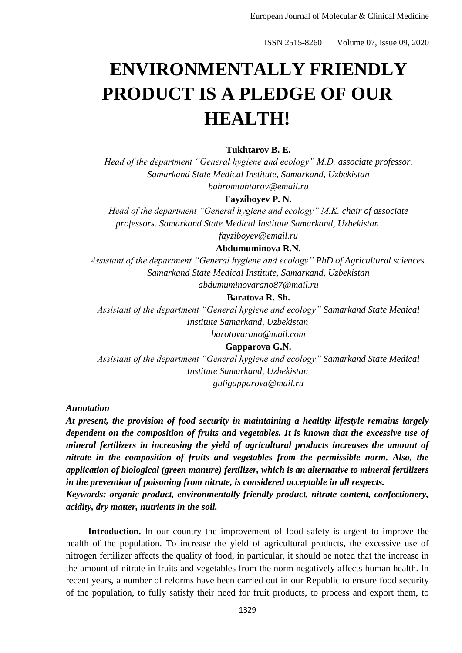# **ENVIRONMENTALLY FRIENDLY PRODUCT IS A PLEDGE OF OUR HEALTH!**

## **Tukhtarov B. E.**

*Head of the department "General hygiene and ecology" M.D. associate professor. Samarkand State Medical Institute, Samarkand, Uzbekistan bahromtuhtarov@email.ru*

#### **Fayziboyev P. N.**

*Head of the department "General hygiene and ecology" M.K. chair of associate professors. Samarkand State Medical Institute Samarkand, Uzbekistan*

*fayziboyev@email.ru*

## **Abdumuminova R.N.**

*Assistant of the department "General hygiene and ecology" PhD of Agricultural sciences. Samarkand State Medical Institute, Samarkand, Uzbekistan abdumuminovarano87@mail.ru*

#### **Baratova R. Sh.**

*Assistant of the department "General hygiene and ecology" Samarkand State Medical Institute Samarkand, Uzbekistan barotovarano@mail.com*

## **Gapparova G.N.**

*Assistant of the department "General hygiene and ecology" Samarkand State Medical Institute Samarkand, Uzbekistan guligapparova@mail.ru*

*Annotation*

*At present, the provision of food security in maintaining a healthy lifestyle remains largely dependent on the composition of fruits and vegetables. It is known that the excessive use of mineral fertilizers in increasing the yield of agricultural products increases the amount of nitrate in the composition of fruits and vegetables from the permissible norm. Also, the application of biological (green manure) fertilizer, which is an alternative to mineral fertilizers in the prevention of poisoning from nitrate, is considered acceptable in all respects. Keywords: organic product, environmentally friendly product, nitrate content, confectionery, acidity, dry matter, nutrients in the soil.*

**Introduction.** In our country the improvement of food safety is urgent to improve the health of the population. To increase the yield of agricultural products, the excessive use of nitrogen fertilizer affects the quality of food, in particular, it should be noted that the increase in the amount of nitrate in fruits and vegetables from the norm negatively affects human health. In recent years, a number of reforms have been carried out in our Republic to ensure food security of the population, to fully satisfy their need for fruit products, to process and export them, to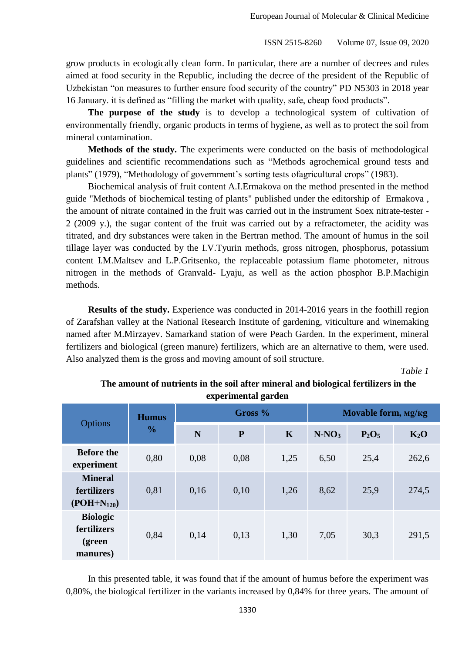grow products in ecologically clean form. In particular, there are a number of decrees and rules aimed at food security in the Republic, including the decree of the president of the Republic of Uzbekistan "on measures to further ensure food security of the country" PD N5303 in 2018 year 16 January. it is defined as "filling the market with quality, safe, cheap food products".

**The purpose of the study** is to develop a technological system of cultivation of environmentally friendly, organic products in terms of hygiene, as well as to protect the soil from mineral contamination.

**Methods of the study.** The experiments were conducted on the basis of methodological guidelines and scientific recommendations such as "Methods agrochemical ground tests and plants" (1979), "Methodology of government's sorting tests ofagricultural crops" (1983).

Biochemical analysis of fruit content A.I.Ermakova on the method presented in the method guide "Methods of biochemical testing of plants" published under the editorship of Ermakova , the amount of nitrate contained in the fruit was carried out in the instrument Soex nitrate-tester - 2 (2009 y.), the sugar content of the fruit was carried out by a refractometer, the acidity was titrated, and dry substances were taken in the Bertran method. The amount of humus in the soil tillage layer was conducted by the I.V.Tyurin methods, gross nitrogen, phosphorus, potassium content I.M.Maltsev and L.P.Gritsenko, the replaceable potassium flame photometer, nitrous nitrogen in the methods of Granvald- Lyaju, as well as the action phosphor B.P.Machigin methods.

**Results of the study.** Experience was conducted in 2014-2016 years in the foothill region of Zarafshan valley at the National Research Institute of gardening, viticulture and winemaking named after M.Mirzayev. Samarkand station of were Peach Garden. In the experiment, mineral fertilizers and biological (green manure) fertilizers, which are an alternative to them, were used. Also analyzed them is the gross and moving amount of soil structure.

*Table 1*

| experimental garden                                  |                               |           |           |             |                     |          |        |
|------------------------------------------------------|-------------------------------|-----------|-----------|-------------|---------------------|----------|--------|
| <b>Options</b>                                       | <b>Humus</b><br>$\frac{0}{0}$ | Gross $%$ |           |             | Movable form, Mg/Kg |          |        |
|                                                      |                               | N         | ${\bf P}$ | $\mathbf K$ | $N-NO_3$            | $P_2O_5$ | $K_2O$ |
| <b>Before the</b><br>experiment                      | 0,80                          | 0,08      | 0,08      | 1,25        | 6,50                | 25,4     | 262,6  |
| <b>Mineral</b><br>fertilizers<br>$(POH+N_{120})$     | 0,81                          | 0,16      | 0,10      | 1,26        | 8,62                | 25,9     | 274,5  |
| <b>Biologic</b><br>fertilizers<br>(green<br>manures) | 0,84                          | 0,14      | 0,13      | 1,30        | 7,05                | 30,3     | 291,5  |

**The amount of nutrients in the soil after mineral and biological fertilizers in the experimental garden**

In this presented table, it was found that if the amount of humus before the experiment was 0,80%, the biological fertilizer in the variants increased by 0,84% for three years. The amount of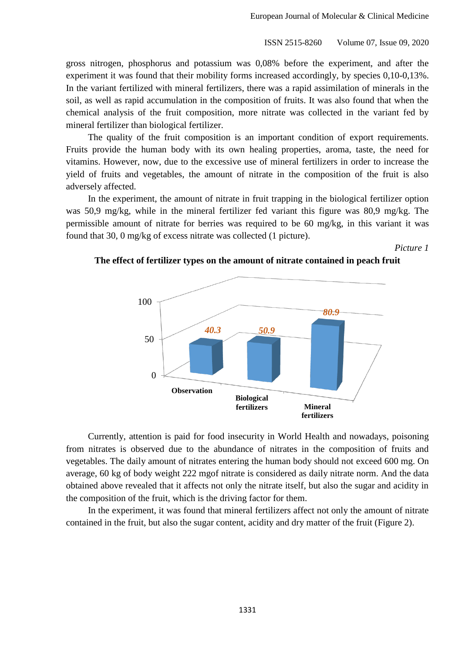gross nitrogen, phosphorus and potassium was 0,08% before the experiment, and after the experiment it was found that their mobility forms increased accordingly, by species 0,10-0,13%. In the variant fertilized with mineral fertilizers, there was a rapid assimilation of minerals in the soil, as well as rapid accumulation in the composition of fruits. It was also found that when the chemical analysis of the fruit composition, more nitrate was collected in the variant fed by mineral fertilizer than biological fertilizer.

The quality of the fruit composition is an important condition of export requirements. Fruits provide the human body with its own healing properties, aroma, taste, the need for vitamins. However, now, due to the excessive use of mineral fertilizers in order to increase the yield of fruits and vegetables, the amount of nitrate in the composition of the fruit is also adversely affected.

In the experiment, the amount of nitrate in fruit trapping in the biological fertilizer option was 50,9 mg/kg, while in the mineral fertilizer fed variant this figure was 80,9 mg/kg. The permissible amount of nitrate for berries was required to be 60 mg/kg, in this variant it was found that 30, 0 mg/kg of excess nitrate was collected (1 picture).

*Picture 1*

# **The effect of fertilizer types on the amount of nitrate contained in peach fruit**



Currently, attention is paid for food insecurity in World Health and nowadays, poisoning from nitrates is observed due to the abundance of nitrates in the composition of fruits and vegetables. The daily amount of nitrates entering the human body should not exceed 600 mg. On average, 60 kg of body weight 222 mgof nitrate is considered as daily nitrate norm. And the data obtained above revealed that it affects not only the nitrate itself, but also the sugar and acidity in the composition of the fruit, which is the driving factor for them.

In the experiment, it was found that mineral fertilizers affect not only the amount of nitrate contained in the fruit, but also the sugar content, acidity and dry matter of the fruit (Figure 2).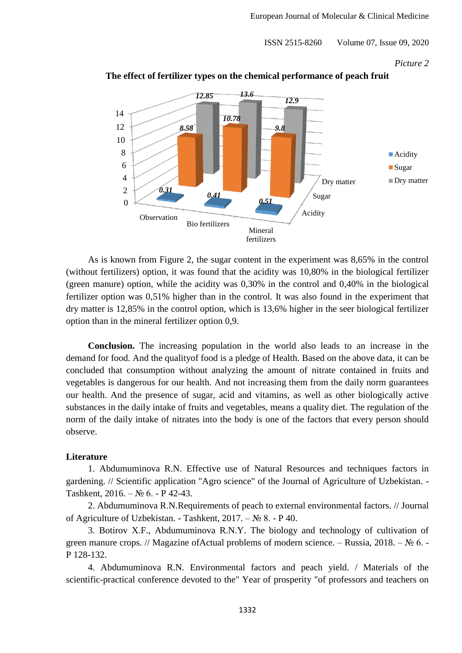*Picture 2*



**The effect of fertilizer types on the chemical performance of peach fruit**

As is known from Figure 2, the sugar content in the experiment was 8,65% in the control (without fertilizers) option, it was found that the acidity was 10,80% in the biological fertilizer (green manure) option, while the acidity was 0,30% in the control and 0,40% in the biological fertilizer option was 0,51% higher than in the control. It was also found in the experiment that dry matter is 12,85% in the control option, which is 13,6% higher in the seer biological fertilizer option than in the mineral fertilizer option 0,9.

**Conclusion.** The increasing population in the world also leads to an increase in the demand for food. And the qualityof food is a pledge of Health. Based on the above data, it can be concluded that consumption without analyzing the amount of nitrate contained in fruits and vegetables is dangerous for our health. And not increasing them from the daily norm guarantees our health. And the presence of sugar, acid and vitamins, as well as other biologically active substances in the daily intake of fruits and vegetables, means a quality diet. The regulation of the norm of the daily intake of nitrates into the body is one of the factors that every person should observe.

## **Literature**

1. Abdumuminova R.N. Effective use of Natural Resources and techniques factors in gardening. // Scientific application "Agro science" of the Journal of Agriculture of Uzbekistan. - Tashkent, 2016. – № 6. - P 42-43.

2. Abdumuminova R.N.Requirements of peach to external environmental factors. // Journal of Agriculture of Uzbekistan. - Tashkent, 2017. – № 8. - P 40.

3. Botirov X.F., Abdumuminova R.N.Y. The biology and technology of cultivation of green manure crops. // Magazine of Actual problems of modern science. – Russia,  $2018. - N_2 6. -$ P 128-132.

4. Abdumuminova R.N. Environmental factors and peach yield. / Materials of the scientific-practical conference devoted to the" Year of prosperity "of professors and teachers on